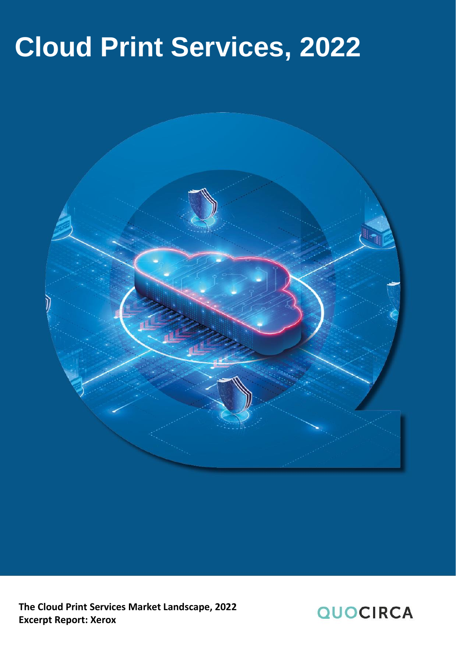# **Cloud Print Services, 2022**



**The Cloud Print Services Market Landscape, 2022 Excerpt Report: Xerox**

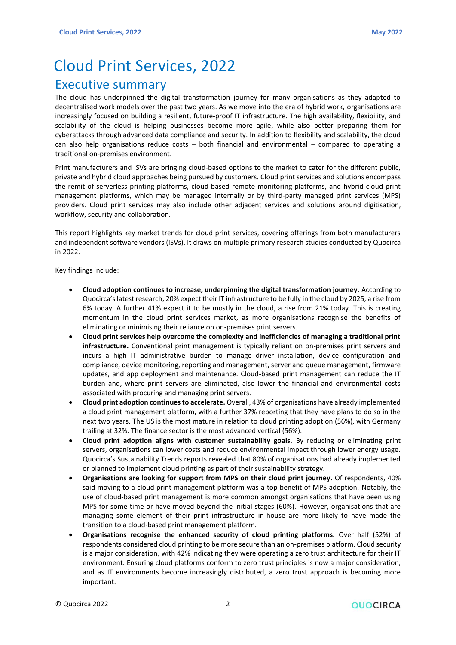# Cloud Print Services, 2022

### <span id="page-1-0"></span>Executive summary

The cloud has underpinned the digital transformation journey for many organisations as they adapted to decentralised work models over the past two years. As we move into the era of hybrid work, organisations are increasingly focused on building a resilient, future-proof IT infrastructure. The high availability, flexibility, and scalability of the cloud is helping businesses become more agile, while also better preparing them for cyberattacks through advanced data compliance and security. In addition to flexibility and scalability, the cloud can also help organisations reduce costs – both financial and environmental – compared to operating a traditional on-premises environment.

Print manufacturers and ISVs are bringing cloud-based options to the market to cater for the different public, private and hybrid cloud approaches being pursued by customers. Cloud print services and solutions encompass the remit of serverless printing platforms, cloud-based remote monitoring platforms, and hybrid cloud print management platforms, which may be managed internally or by third-party managed print services (MPS) providers. Cloud print services may also include other adjacent services and solutions around digitisation, workflow, security and collaboration.

This report highlights key market trends for cloud print services, covering offerings from both manufacturers and independent software vendors (ISVs). It draws on multiple primary research studies conducted by Quocirca in 2022.

Key findings include:

- **Cloud adoption continues to increase, underpinning the digital transformation journey.** According to Quocirca's latest research, 20% expect their IT infrastructure to be fully in the cloud by 2025, a rise from 6% today. A further 41% expect it to be mostly in the cloud, a rise from 21% today. This is creating momentum in the cloud print services market, as more organisations recognise the benefits of eliminating or minimising their reliance on on-premises print servers.
- **Cloud print services help overcome the complexity and inefficiencies of managing a traditional print infrastructure.** Conventional print management is typically reliant on on-premises print servers and incurs a high IT administrative burden to manage driver installation, device configuration and compliance, device monitoring, reporting and management, server and queue management, firmware updates, and app deployment and maintenance. Cloud-based print management can reduce the IT burden and, where print servers are eliminated, also lower the financial and environmental costs associated with procuring and managing print servers.
- **Cloud print adoption continues to accelerate.** Overall, 43% of organisations have already implemented a cloud print management platform, with a further 37% reporting that they have plans to do so in the next two years. The US is the most mature in relation to cloud printing adoption (56%), with Germany trailing at 32%. The finance sector is the most advanced vertical (56%).
- **Cloud print adoption aligns with customer sustainability goals.** By reducing or eliminating print servers, organisations can lower costs and reduce environmental impact through lower energy usage. Quocirca's Sustainability Trends reports revealed that 80% of organisations had already implemented or planned to implement cloud printing as part of their sustainability strategy.
- **Organisations are looking for support from MPS on their cloud print journey.** Of respondents, 40% said moving to a cloud print management platform was a top benefit of MPS adoption. Notably, the use of cloud-based print management is more common amongst organisations that have been using MPS for some time or have moved beyond the initial stages (60%). However, organisations that are managing some element of their print infrastructure in-house are more likely to have made the transition to a cloud-based print management platform.
- **Organisations recognise the enhanced security of cloud printing platforms.** Over half (52%) of respondents considered cloud printing to be more secure than an on-premises platform. Cloud security is a major consideration, with 42% indicating they were operating a zero trust architecture for their IT environment. Ensuring cloud platforms conform to zero trust principles is now a major consideration, and as IT environments become increasingly distributed, a zero trust approach is becoming more important.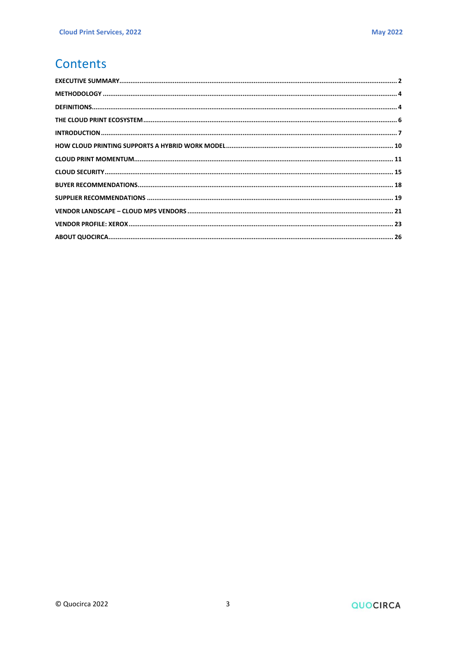# Contents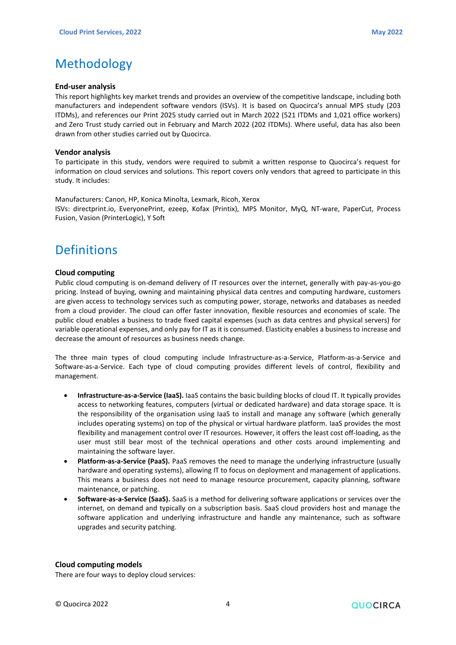# <span id="page-3-0"></span>Methodology

#### **End-user analysis**

This report highlights key market trends and provides an overview of the competitive landscape, including both manufacturers and independent software vendors (ISVs). It is based on Quocirca's annual MPS study (203 ITDMs), and references our Print 2025 study carried out in March 2022 (521 ITDMs and 1,021 office workers) and Zero Trust study carried out in February and March 2022 (202 ITDMs). Where useful, data has also been drawn from other studies carried out by Quocirca.

#### **Vendor analysis**

To participate in this study, vendors were required to submit a written response to Quocirca's request for information on cloud services and solutions. This report covers only vendors that agreed to participate in this study. It includes:

Manufacturers: Canon, HP, Konica Minolta, Lexmark, Ricoh, Xerox ISVs: directprint.io, EveryonePrint, ezeep, Kofax (Printix), MPS Monitor, MyQ, NT-ware, PaperCut, Process Fusion, Vasion (PrinterLogic), Y Soft

### <span id="page-3-1"></span>**Definitions**

#### **Cloud computing**

Public cloud computing is on-demand delivery of IT resources over the internet, generally with pay-as-you-go pricing. Instead of buying, owning and maintaining physical data centres and computing hardware, customers are given access to technology services such as computing power, storage, networks and databases as needed from a cloud provider. The cloud can offer faster innovation, flexible resources and economies of scale. The public cloud enables a business to trade fixed capital expenses (such as data centres and physical servers) for variable operational expenses, and only pay for IT as it is consumed. Elasticity enables a business to increase and decrease the amount of resources as business needs change.

The three main types of cloud computing include Infrastructure-as-a-Service, Platform-as-a-Service and Software-as-a-Service. Each type of cloud computing provides different levels of control, flexibility and management.

- **Infrastructure-as-a-Service (IaaS).** IaaS contains the basic building blocks of cloud IT. It typically provides access to networking features, computers (virtual or dedicated hardware) and data storage space. It is the responsibility of the organisation using IaaS to install and manage any software (which generally includes operating systems) on top of the physical or virtual hardware platform. IaaS provides the most flexibility and management control over IT resources. However, it offers the least cost off-loading, as the user must still bear most of the technical operations and other costs around implementing and maintaining the software layer.
- **Platform-as-a-Service (PaaS).** PaaS removes the need to manage the underlying infrastructure (usually hardware and operating systems), allowing IT to focus on deployment and management of applications. This means a business does not need to manage resource procurement, capacity planning, software maintenance, or patching.
- **Software-as-a-Service (SaaS).** SaaS is a method for delivering software applications or services over the internet, on demand and typically on a subscription basis. SaaS cloud providers host and manage the software application and underlying infrastructure and handle any maintenance, such as software upgrades and security patching.

#### **Cloud computing models**

There are four ways to deploy cloud services: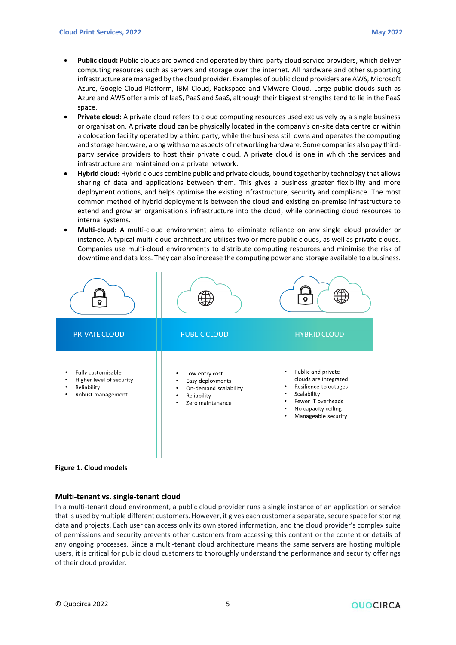- **Public cloud:** Public clouds are owned and operated by third-party cloud service providers, which deliver computing resources such as servers and storage over the internet. All hardware and other supporting infrastructure are managed by the cloud provider. Examples of public cloud providers are AWS, Microsoft Azure, Google Cloud Platform, IBM Cloud, Rackspace and VMware Cloud. Large public clouds such as Azure and AWS offer a mix of IaaS, PaaS and SaaS, although their biggest strengths tend to lie in the PaaS space.
- **Private cloud:** A private cloud refers to cloud computing resources used exclusively by a single business or organisation. A private cloud can be physically located in the company's on-site data centre or within a colocation facility operated by a third party, while the business still owns and operates the computing and storage hardware, along with some aspects of networking hardware. Some companies also pay thirdparty service providers to host their private cloud. A private cloud is one in which the services and infrastructure are maintained on a private network.
- **Hybrid cloud:** Hybrid clouds combine public and private clouds, bound together by technology that allows sharing of data and applications between them. This gives a business greater flexibility and more deployment options, and helps optimise the existing infrastructure, security and compliance. The most common method of hybrid deployment is between the cloud and existing on-premise infrastructure to extend and grow an organisation's infrastructure into the cloud, while connecting cloud resources to internal systems.
- **Multi-cloud:** A multi-cloud environment aims to eliminate reliance on any single cloud provider or instance. A typical multi-cloud architecture utilises two or more public clouds, as well as private clouds. Companies use multi-cloud environments to distribute computing resources and minimise the risk of downtime and data loss. They can also increase the computing power and storage available to a business.





#### **Multi-tenant vs. single-tenant cloud**

In a multi-tenant cloud environment, a public cloud provider runs a single instance of an application or service that is used by multiple different customers. However, it gives each customer a separate, secure space for storing data and projects. Each user can access only its own stored information, and the cloud provider's complex suite of permissions and security prevents other customers from accessing this content or the content or details of any ongoing processes. Since a multi-tenant cloud architecture means the same servers are hosting multiple users, it is critical for public cloud customers to thoroughly understand the performance and security offerings of their cloud provider.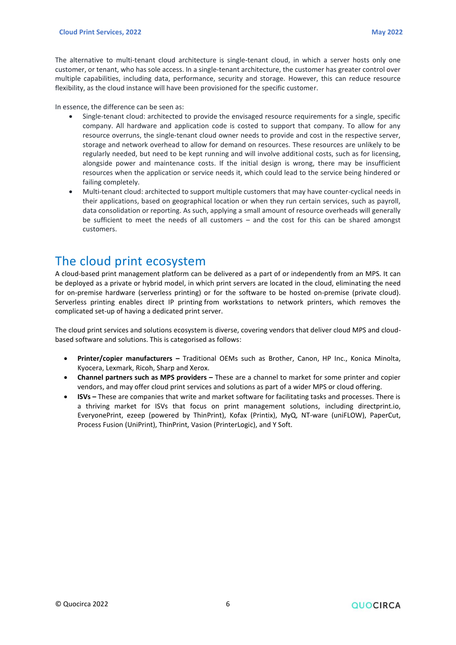The alternative to multi-tenant cloud architecture is single-tenant cloud, in which a server hosts only one customer, or tenant, who has sole access. In a single-tenant architecture, the customer has greater control over multiple capabilities, including data, performance, security and storage. However, this can reduce resource flexibility, as the cloud instance will have been provisioned for the specific customer.

In essence, the difference can be seen as:

- Single-tenant cloud: architected to provide the envisaged resource requirements for a single, specific company. All hardware and application code is costed to support that company. To allow for any resource overruns, the single-tenant cloud owner needs to provide and cost in the respective server, storage and network overhead to allow for demand on resources. These resources are unlikely to be regularly needed, but need to be kept running and will involve additional costs, such as for licensing, alongside power and maintenance costs. If the initial design is wrong, there may be insufficient resources when the application or service needs it, which could lead to the service being hindered or failing completely.
- Multi-tenant cloud: architected to support multiple customers that may have counter-cyclical needs in their applications, based on geographical location or when they run certain services, such as payroll, data consolidation or reporting. As such, applying a small amount of resource overheads will generally be sufficient to meet the needs of all customers – and the cost for this can be shared amongst customers.

### <span id="page-5-0"></span>The cloud print ecosystem

A cloud-based print management platform can be delivered as a part of or independently from an MPS. It can be deployed as a private or hybrid model, in which print servers are located in the cloud, eliminating the need for on-premise hardware (serverless printing) or for the software to be hosted on-premise (private cloud). Serverless printing enables direct IP printing from workstations to network printers, which removes the complicated set-up of having a dedicated print server.

The cloud print services and solutions ecosystem is diverse, covering vendors that deliver cloud MPS and cloudbased software and solutions. This is categorised as follows:

- **Printer/copier manufacturers –** Traditional OEMs such as Brother, Canon, HP Inc., Konica Minolta, Kyocera, Lexmark, Ricoh, Sharp and Xerox.
- **Channel partners such as MPS providers –** These are a channel to market for some printer and copier vendors, and may offer cloud print services and solutions as part of a wider MPS or cloud offering.
- **ISVs –** These are companies that write and market software for facilitating tasks and processes. There is a thriving market for ISVs that focus on print management solutions, including directprint.io, EveryonePrint, ezeep (powered by ThinPrint), Kofax (Printix), MyQ, NT-ware (uniFLOW), PaperCut, Process Fusion (UniPrint), ThinPrint, Vasion (PrinterLogic), and Y Soft.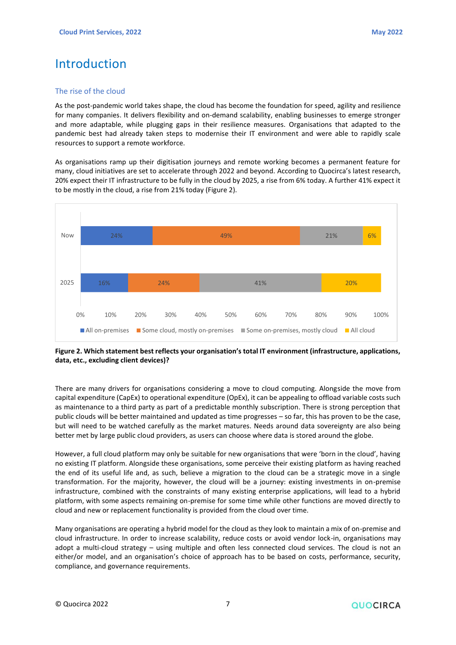# <span id="page-6-0"></span>Introduction

#### The rise of the cloud

As the post-pandemic world takes shape, the cloud has become the foundation for speed, agility and resilience for many companies. It delivers flexibility and on-demand scalability, enabling businesses to emerge stronger and more adaptable, while plugging gaps in their resilience measures. Organisations that adapted to the pandemic best had already taken steps to modernise their IT environment and were able to rapidly scale resources to support a remote workforce.

As organisations ramp up their digitisation journeys and remote working becomes a permanent feature for many, cloud initiatives are set to accelerate through 2022 and beyond. According to Quocirca's latest research, 20% expect their IT infrastructure to be fully in the cloud by 2025, a rise from 6% today. A further 41% expect it to be mostly in the cloud, a rise from 21% today (Figure 2).



#### **Figure 2. Which statement best reflects your organisation's total IT environment (infrastructure, applications, data, etc., excluding client devices)?**

There are many drivers for organisations considering a move to cloud computing. Alongside the move from capital expenditure (CapEx) to operational expenditure (OpEx), it can be appealing to offload variable costs such as maintenance to a third party as part of a predictable monthly subscription. There is strong perception that public clouds will be better maintained and updated as time progresses – so far, this has proven to be the case, but will need to be watched carefully as the market matures. Needs around data sovereignty are also being better met by large public cloud providers, as users can choose where data is stored around the globe.

However, a full cloud platform may only be suitable for new organisations that were 'born in the cloud', having no existing IT platform. Alongside these organisations, some perceive their existing platform as having reached the end of its useful life and, as such, believe a migration to the cloud can be a strategic move in a single transformation. For the majority, however, the cloud will be a journey: existing investments in on-premise infrastructure, combined with the constraints of many existing enterprise applications, will lead to a hybrid platform, with some aspects remaining on-premise for some time while other functions are moved directly to cloud and new or replacement functionality is provided from the cloud over time.

Many organisations are operating a hybrid model for the cloud as they look to maintain a mix of on-premise and cloud infrastructure. In order to increase scalability, reduce costs or avoid vendor lock-in, organisations may adopt a multi-cloud strategy – using multiple and often less connected cloud services. The cloud is not an either/or model, and an organisation's choice of approach has to be based on costs, performance, security, compliance, and governance requirements.

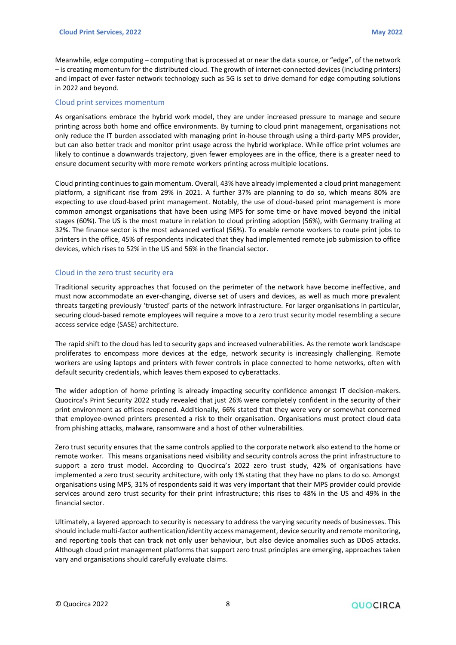Meanwhile, edge computing – computing that is processed at or near the data source, or "edge", of the network – is creating momentum for the distributed cloud. The growth of internet-connected devices (including printers) and impact of ever-faster network technology such as 5G is set to drive demand for edge computing solutions in 2022 and beyond.

#### Cloud print services momentum

As organisations embrace the hybrid work model, they are under increased pressure to manage and secure printing across both home and office environments. By turning to cloud print management, organisations not only reduce the IT burden associated with managing print in-house through using a third-party MPS provider, but can also better track and monitor print usage across the hybrid workplace. While office print volumes are likely to continue a downwards trajectory, given fewer employees are in the office, there is a greater need to ensure document security with more remote workers printing across multiple locations.

Cloud printing continues to gain momentum. Overall, 43% have already implemented a cloud print management platform, a significant rise from 29% in 2021. A further 37% are planning to do so, which means 80% are expecting to use cloud-based print management. Notably, the use of cloud-based print management is more common amongst organisations that have been using MPS for some time or have moved beyond the initial stages (60%). The US is the most mature in relation to cloud printing adoption (56%), with Germany trailing at 32%. The finance sector is the most advanced vertical (56%). To enable remote workers to route print jobs to printers in the office, 45% of respondents indicated that they had implemented remote job submission to office devices, which rises to 52% in the US and 56% in the financial sector.

#### Cloud in the zero trust security era

Traditional security approaches that focused on the perimeter of the network have become ineffective, and must now accommodate an ever-changing, diverse set of users and devices, as well as much more prevalent threats targeting previously 'trusted' parts of the network infrastructure. For larger organisations in particular, securing cloud-based remote employees will require a move to a zero trust security model resembling a secure access service edge (SASE) architecture.

The rapid shift to the cloud has led to security gaps and increased vulnerabilities. As the remote work landscape proliferates to encompass more devices at the edge, network security is increasingly challenging. Remote workers are using laptops and printers with fewer controls in place connected to home networks, often with default security credentials, which leaves them exposed to cyberattacks.

The wider adoption of home printing is already impacting security confidence amongst IT decision-makers. Quocirca's Print Security 2022 study revealed that just 26% were completely confident in the security of their print environment as offices reopened. Additionally, 66% stated that they were very or somewhat concerned that employee-owned printers presented a risk to their organisation. Organisations must protect cloud data from phishing attacks, malware, ransomware and a host of other vulnerabilities.

Zero trust security ensures that the same controls applied to the corporate network also extend to the home or remote worker. This means organisations need visibility and security controls across the print infrastructure to support a zero trust model. According to Quocirca's 2022 zero trust study, 42% of organisations have implemented a zero trust security architecture, with only 1% stating that they have no plans to do so. Amongst organisations using MPS, 31% of respondents said it was very important that their MPS provider could provide services around zero trust security for their print infrastructure; this rises to 48% in the US and 49% in the financial sector.

Ultimately, a layered approach to security is necessary to address the varying security needs of businesses. This should include multi-factor authentication/identity access management, device security and remote monitoring, and reporting tools that can track not only user behaviour, but also device anomalies such as DDoS attacks. Although cloud print management platforms that support zero trust principles are emerging, approaches taken vary and organisations should carefully evaluate claims.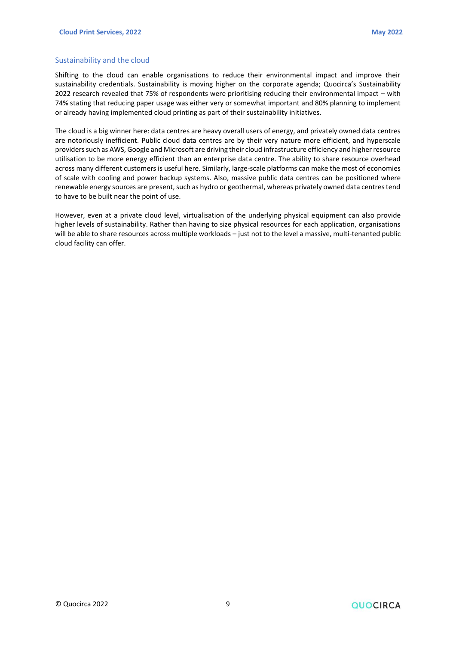#### Sustainability and the cloud

Shifting to the cloud can enable organisations to reduce their environmental impact and improve their sustainability credentials. Sustainability is moving higher on the corporate agenda; Quocirca's Sustainability 2022 research revealed that 75% of respondents were prioritising reducing their environmental impact – with 74% stating that reducing paper usage was either very or somewhat important and 80% planning to implement or already having implemented cloud printing as part of their sustainability initiatives.

The cloud is a big winner here: data centres are heavy overall users of energy, and privately owned data centres are notoriously inefficient. Public cloud data centres are by their very nature more efficient, and hyperscale providers such as AWS, Google and Microsoft are driving their cloud infrastructure efficiency and higher resource utilisation to be more energy efficient than an enterprise data centre. The ability to share resource overhead across many different customers is useful here. Similarly, large-scale platforms can make the most of economies of scale with cooling and power backup systems. Also, massive public data centres can be positioned where renewable energy sources are present, such as hydro or geothermal, whereas privately owned data centres tend to have to be built near the point of use.

However, even at a private cloud level, virtualisation of the underlying physical equipment can also provide higher levels of sustainability. Rather than having to size physical resources for each application, organisations will be able to share resources across multiple workloads – just not to the level a massive, multi-tenanted public cloud facility can offer.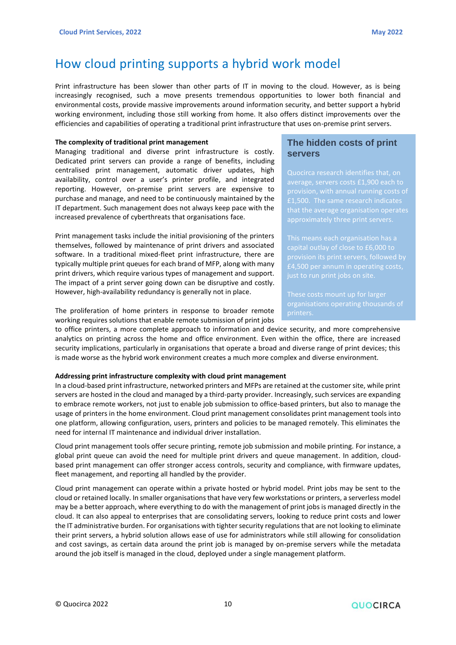### <span id="page-9-0"></span>How cloud printing supports a hybrid work model

Print infrastructure has been slower than other parts of IT in moving to the cloud. However, as is being increasingly recognised, such a move presents tremendous opportunities to lower both financial and environmental costs, provide massive improvements around information security, and better support a hybrid working environment, including those still working from home. It also offers distinct improvements over the efficiencies and capabilities of operating a traditional print infrastructure that uses on-premise print servers.

#### **The complexity of traditional print management**

Managing traditional and diverse print infrastructure is costly. Dedicated print servers can provide a range of benefits, including centralised print management, automatic driver updates, high availability, control over a user's printer profile, and integrated reporting. However, on-premise print servers are expensive to purchase and manage, and need to be continuously maintained by the IT department. Such management does not always keep pace with the increased prevalence of cyberthreats that organisations face.

Print management tasks include the initial provisioning of the printers themselves, followed by maintenance of print drivers and associated software. In a traditional mixed-fleet print infrastructure, there are typically multiple print queues for each brand of MFP, along with many print drivers, which require various types of management and support. The impact of a print server going down can be disruptive and costly. However, high-availability redundancy is generally not in place.

The proliferation of home printers in response to broader remote working requires solutions that enable remote submission of print jobs

#### **The hidden costs of print servers**

average, servers costs £1,900 each to provision, with annual running costs of

capital outlay of close to £6,000 to

These costs mount up for larger

to office printers, a more complete approach to information and device security, and more comprehensive analytics on printing across the home and office environment. Even within the office, there are increased security implications, particularly in organisations that operate a broad and diverse range of print devices; this is made worse as the hybrid work environment creates a much more complex and diverse environment.

#### **Addressing print infrastructure complexity with cloud print management**

In a cloud-based print infrastructure, networked printers and MFPs are retained at the customer site, while print servers are hosted in the cloud and managed by a third-party provider. Increasingly, such services are expanding to embrace remote workers, not just to enable job submission to office-based printers, but also to manage the usage of printers in the home environment. Cloud print management consolidates print management tools into one platform, allowing configuration, users, printers and policies to be managed remotely. This eliminates the need for internal IT maintenance and individual driver installation.

Cloud print management tools offer secure printing, remote job submission and mobile printing. For instance, a global print queue can avoid the need for multiple print drivers and queue management. In addition, cloudbased print management can offer stronger access controls, security and compliance, with firmware updates, fleet management, and reporting all handled by the provider.

Cloud print management can operate within a private hosted or hybrid model. Print jobs may be sent to the cloud or retained locally. In smaller organisations that have very few workstations or printers, a serverless model may be a better approach, where everything to do with the management of print jobs is managed directly in the cloud. It can also appeal to enterprises that are consolidating servers, looking to reduce print costs and lower the IT administrative burden. For organisations with tighter security regulations that are not looking to eliminate their print servers, a hybrid solution allows ease of use for administrators while still allowing for consolidation and cost savings, as certain data around the print job is managed by on-premise servers while the metadata around the job itself is managed in the cloud, deployed under a single management platform.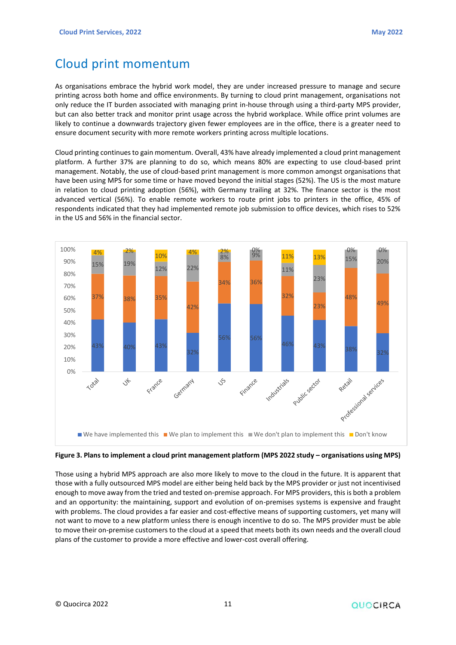## <span id="page-10-0"></span>Cloud print momentum

As organisations embrace the hybrid work model, they are under increased pressure to manage and secure printing across both home and office environments. By turning to cloud print management, organisations not only reduce the IT burden associated with managing print in-house through using a third-party MPS provider, but can also better track and monitor print usage across the hybrid workplace. While office print volumes are likely to continue a downwards trajectory given fewer employees are in the office, there is a greater need to ensure document security with more remote workers printing across multiple locations.

Cloud printing continues to gain momentum. Overall, 43% have already implemented a cloud print management platform. A further 37% are planning to do so, which means 80% are expecting to use cloud-based print management. Notably, the use of cloud-based print management is more common amongst organisations that have been using MPS for some time or have moved beyond the initial stages (52%). The US is the most mature in relation to cloud printing adoption (56%), with Germany trailing at 32%. The finance sector is the most advanced vertical (56%). To enable remote workers to route print jobs to printers in the office, 45% of respondents indicated that they had implemented remote job submission to office devices, which rises to 52% in the US and 56% in the financial sector.



#### **Figure 3. Plans to implement a cloud print management platform (MPS 2022 study – organisations using MPS)**

Those using a hybrid MPS approach are also more likely to move to the cloud in the future. It is apparent that those with a fully outsourced MPS model are either being held back by the MPS provider or just not incentivised enough to move away from the tried and tested on-premise approach. For MPS providers, this is both a problem and an opportunity: the maintaining, support and evolution of on-premises systems is expensive and fraught with problems. The cloud provides a far easier and cost-effective means of supporting customers, yet many will not want to move to a new platform unless there is enough incentive to do so. The MPS provider must be able to move their on-premise customers to the cloud at a speed that meets both its own needs and the overall cloud plans of the customer to provide a more effective and lower-cost overall offering.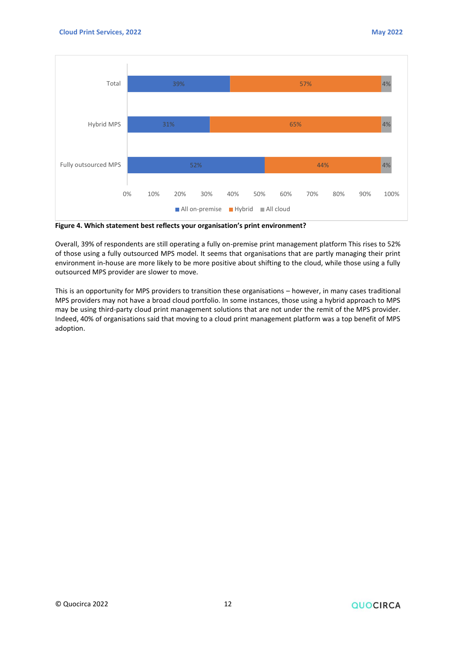

**Figure 4. Which statement best reflects your organisation's print environment?**

Overall, 39% of respondents are still operating a fully on-premise print management platform This rises to 52% of those using a fully outsourced MPS model. It seems that organisations that are partly managing their print environment in-house are more likely to be more positive about shifting to the cloud, while those using a fully outsourced MPS provider are slower to move.

This is an opportunity for MPS providers to transition these organisations – however, in many cases traditional MPS providers may not have a broad cloud portfolio. In some instances, those using a hybrid approach to MPS may be using third-party cloud print management solutions that are not under the remit of the MPS provider. Indeed, 40% of organisations said that moving to a cloud print management platform was a top benefit of MPS adoption.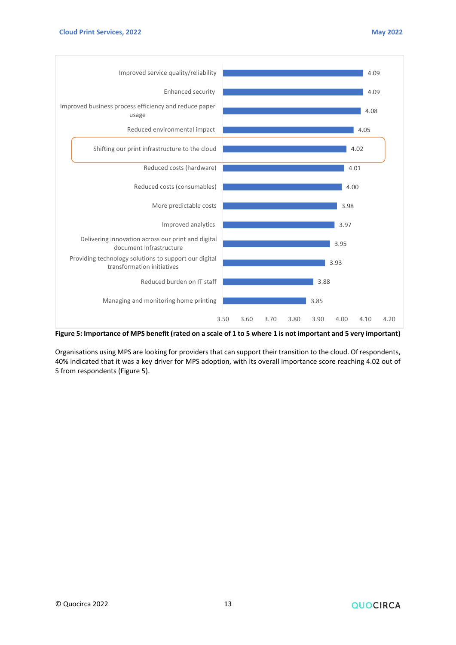

**Figure 5: Importance of MPS benefit (rated on a scale of 1 to 5 where 1 is not important and 5 very important)**

Organisations using MPS are looking for providers that can support their transition to the cloud. Of respondents, 40% indicated that it was a key driver for MPS adoption, with its overall importance score reaching 4.02 out of 5 from respondents (Figure 5).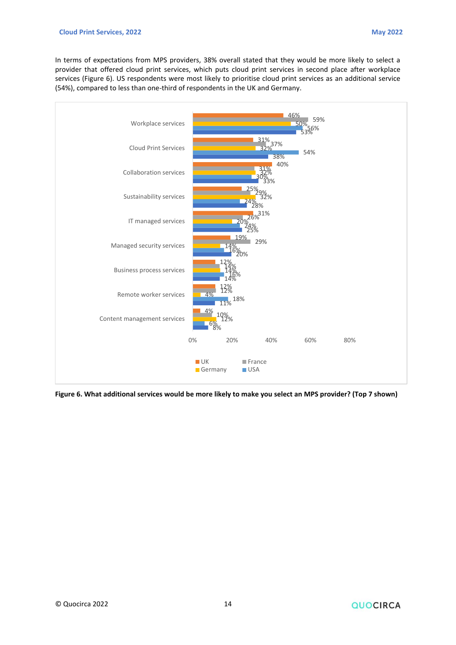In terms of expectations from MPS providers, 38% overall stated that they would be more likely to select a provider that offered cloud print services, which puts cloud print services in second place after workplace services (Figure 6). US respondents were most likely to prioritise cloud print services as an additional service (54%), compared to less than one-third of respondents in the UK and Germany.



**Figure 6. What additional services would be more likely to make you select an MPS provider? (Top 7 shown)**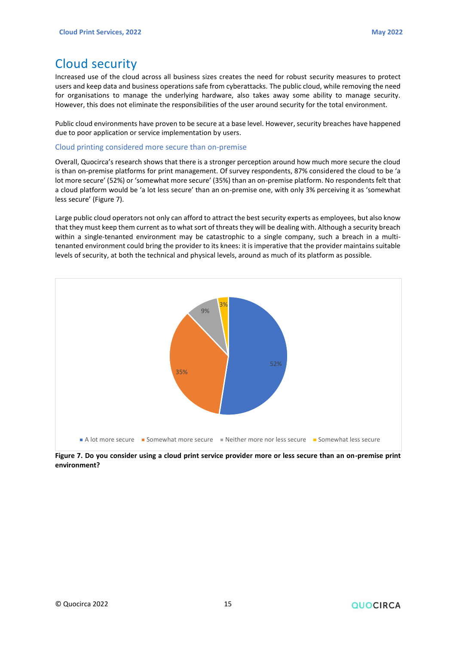# <span id="page-14-0"></span>Cloud security

Increased use of the cloud across all business sizes creates the need for robust security measures to protect users and keep data and business operations safe from cyberattacks. The public cloud, while removing the need for organisations to manage the underlying hardware, also takes away some ability to manage security. However, this does not eliminate the responsibilities of the user around security for the total environment.

Public cloud environments have proven to be secure at a base level. However, security breaches have happened due to poor application or service implementation by users.

#### Cloud printing considered more secure than on-premise

Overall, Quocirca's research shows that there is a stronger perception around how much more secure the cloud is than on-premise platforms for print management. Of survey respondents, 87% considered the cloud to be 'a lot more secure' (52%) or 'somewhat more secure' (35%) than an on-premise platform. No respondents felt that a cloud platform would be 'a lot less secure' than an on-premise one, with only 3% perceiving it as 'somewhat less secure' (Figure 7).

Large public cloud operators not only can afford to attract the best security experts as employees, but also know that they must keep them current as to what sort of threats they will be dealing with. Although a security breach within a single-tenanted environment may be catastrophic to a single company, such a breach in a multitenanted environment could bring the provider to its knees: it is imperative that the provider maintains suitable levels of security, at both the technical and physical levels, around as much of its platform as possible.



**Figure 7. Do you consider using a cloud print service provider more or less secure than an on-premise print environment?**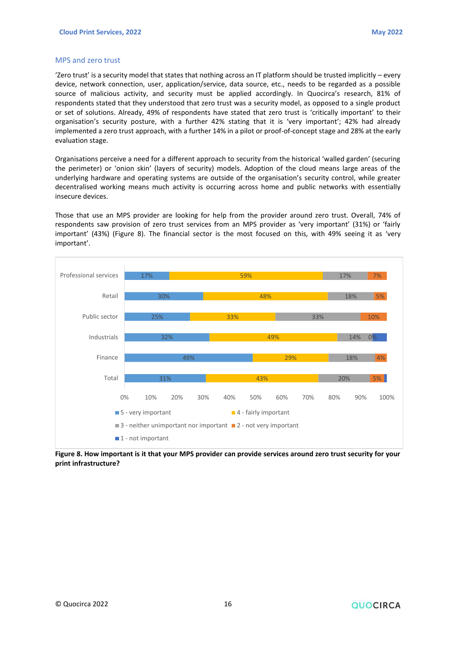#### MPS and zero trust

'Zero trust' is a security model that states that nothing across an IT platform should be trusted implicitly – every device, network connection, user, application/service, data source, etc., needs to be regarded as a possible source of malicious activity, and security must be applied accordingly. In Quocirca's research, 81% of respondents stated that they understood that zero trust was a security model, as opposed to a single product or set of solutions. Already, 49% of respondents have stated that zero trust is 'critically important' to their organisation's security posture, with a further 42% stating that it is 'very important'; 42% had already implemented a zero trust approach, with a further 14% in a pilot or proof-of-concept stage and 28% at the early evaluation stage.

Organisations perceive a need for a different approach to security from the historical 'walled garden' (securing the perimeter) or 'onion skin' (layers of security) models. Adoption of the cloud means large areas of the underlying hardware and operating systems are outside of the organisation's security control, while greater decentralised working means much activity is occurring across home and public networks with essentially insecure devices.

Those that use an MPS provider are looking for help from the provider around zero trust. Overall, 74% of respondents saw provision of zero trust services from an MPS provider as 'very important' (31%) or 'fairly important' (43%) (Figure 8). The financial sector is the most focused on this, with 49% seeing it as 'very important'.



**Figure 8. How important is it that your MPS provider can provide services around zero trust security for your print infrastructure?**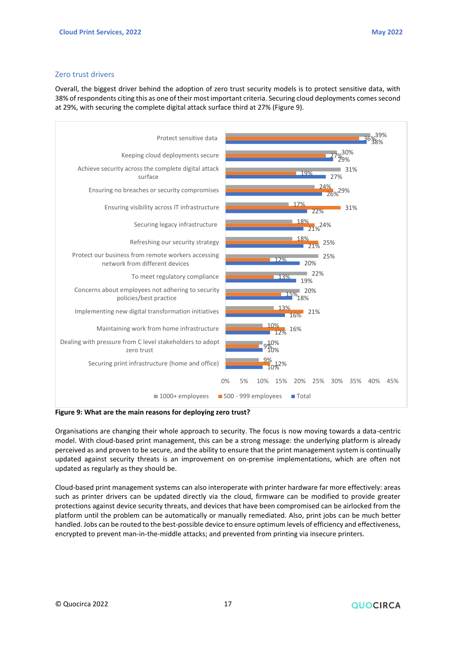#### Zero trust drivers

Overall, the biggest driver behind the adoption of zero trust security models is to protect sensitive data, with 38% of respondents citing this as one of their most important criteria. Securing cloud deployments comes second at 29%, with securing the complete digital attack surface third at 27% (Figure 9).



**Figure 9: What are the main reasons for deploying zero trust?**

Organisations are changing their whole approach to security. The focus is now moving towards a data-centric model. With cloud-based print management, this can be a strong message: the underlying platform is already perceived as and proven to be secure, and the ability to ensure that the print management system is continually updated against security threats is an improvement on on-premise implementations, which are often not updated as regularly as they should be.

Cloud-based print management systems can also interoperate with printer hardware far more effectively: areas such as printer drivers can be updated directly via the cloud, firmware can be modified to provide greater protections against device security threats, and devices that have been compromised can be airlocked from the platform until the problem can be automatically or manually remediated. Also, print jobs can be much better handled. Jobs can be routed to the best-possible device to ensure optimum levels of efficiency and effectiveness, encrypted to prevent man-in-the-middle attacks; and prevented from printing via insecure printers.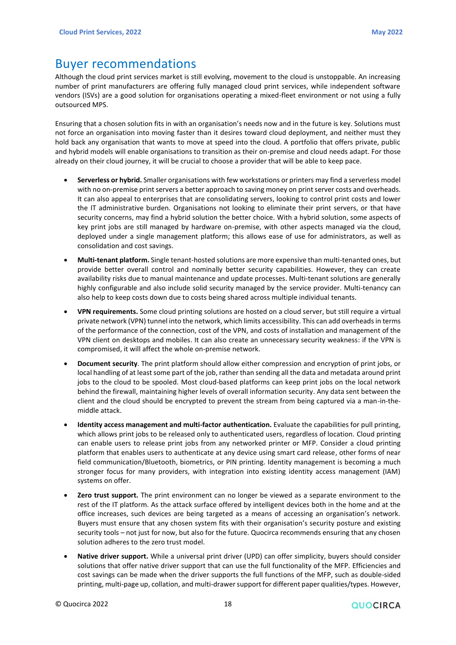### <span id="page-17-0"></span>Buyer recommendations

Although the cloud print services market is still evolving, movement to the cloud is unstoppable. An increasing number of print manufacturers are offering fully managed cloud print services, while independent software vendors (ISVs) are a good solution for organisations operating a mixed-fleet environment or not using a fully outsourced MPS.

Ensuring that a chosen solution fits in with an organisation's needs now and in the future is key. Solutions must not force an organisation into moving faster than it desires toward cloud deployment, and neither must they hold back any organisation that wants to move at speed into the cloud. A portfolio that offers private, public and hybrid models will enable organisations to transition as their on-premise and cloud needs adapt. For those already on their cloud journey, it will be crucial to choose a provider that will be able to keep pace.

- **Serverless or hybrid.** Smaller organisations with few workstations or printers may find a serverless model with no on-premise print servers a better approach to saving money on print server costs and overheads. It can also appeal to enterprises that are consolidating servers, looking to control print costs and lower the IT administrative burden. Organisations not looking to eliminate their print servers, or that have security concerns, may find a hybrid solution the better choice. With a hybrid solution, some aspects of key print jobs are still managed by hardware on-premise, with other aspects managed via the cloud, deployed under a single management platform; this allows ease of use for administrators, as well as consolidation and cost savings.
- **Multi-tenant platform.** Single tenant-hosted solutions are more expensive than multi-tenanted ones, but provide better overall control and nominally better security capabilities. However, they can create availability risks due to manual maintenance and update processes. Multi-tenant solutions are generally highly configurable and also include solid security managed by the service provider. Multi-tenancy can also help to keep costs down due to costs being shared across multiple individual tenants.
- **VPN requirements.** Some cloud printing solutions are hosted on a cloud server, but still require a virtual private network (VPN) tunnel into the network, which limits accessibility. This can add overheads in terms of the performance of the connection, cost of the VPN, and costs of installation and management of the VPN client on desktops and mobiles. It can also create an unnecessary security weakness: if the VPN is compromised, it will affect the whole on-premise network.
- **Document security**. The print platform should allow either compression and encryption of print jobs, or local handling of at least some part of the job, rather than sending all the data and metadata around print jobs to the cloud to be spooled. Most cloud-based platforms can keep print jobs on the local network behind the firewall, maintaining higher levels of overall information security. Any data sent between the client and the cloud should be encrypted to prevent the stream from being captured via a man-in-themiddle attack.
- **Identity access management and multi-factor authentication.** Evaluate the capabilities for pull printing, which allows print jobs to be released only to authenticated users, regardless of location. Cloud printing can enable users to release print jobs from any networked printer or MFP. Consider a cloud printing platform that enables users to authenticate at any device using smart card release, other forms of near field communication/Bluetooth, biometrics, or PIN printing. Identity management is becoming a much stronger focus for many providers, with integration into existing identity access management (IAM) systems on offer.
- **Zero trust support.** The print environment can no longer be viewed as a separate environment to the rest of the IT platform. As the attack surface offered by intelligent devices both in the home and at the office increases, such devices are being targeted as a means of accessing an organisation's network. Buyers must ensure that any chosen system fits with their organisation's security posture and existing security tools – not just for now, but also for the future. Quocirca recommends ensuring that any chosen solution adheres to the zero trust model.
- **Native driver support.** While a universal print driver (UPD) can offer simplicity, buyers should consider solutions that offer native driver support that can use the full functionality of the MFP. Efficiencies and cost savings can be made when the driver supports the full functions of the MFP, such as double-sided printing, multi-page up, collation, and multi-drawer support for different paper qualities/types. However,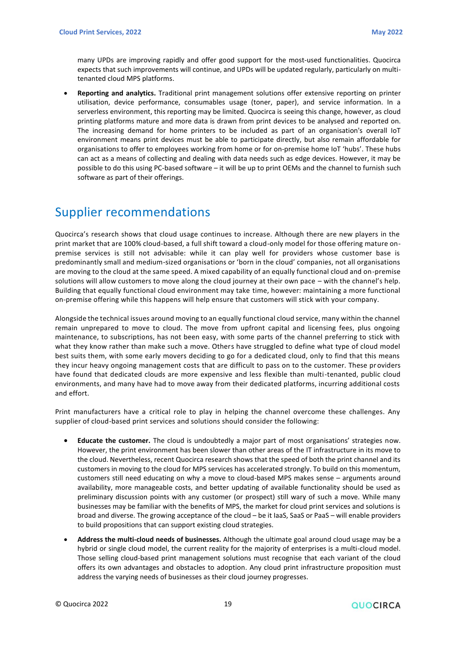many UPDs are improving rapidly and offer good support for the most-used functionalities. Quocirca expects that such improvements will continue, and UPDs will be updated regularly, particularly on multitenanted cloud MPS platforms.

• **Reporting and analytics.** Traditional print management solutions offer extensive reporting on printer utilisation, device performance, consumables usage (toner, paper), and service information. In a serverless environment, this reporting may be limited. Quocirca is seeing this change, however, as cloud printing platforms mature and more data is drawn from print devices to be analysed and reported on. The increasing demand for home printers to be included as part of an organisation's overall IoT environment means print devices must be able to participate directly, but also remain affordable for organisations to offer to employees working from home or for on-premise home IoT 'hubs'. These hubs can act as a means of collecting and dealing with data needs such as edge devices. However, it may be possible to do this using PC-based software – it will be up to print OEMs and the channel to furnish such software as part of their offerings.

### <span id="page-18-0"></span>Supplier recommendations

Quocirca's research shows that cloud usage continues to increase. Although there are new players in the print market that are 100% cloud-based, a full shift toward a cloud-only model for those offering mature onpremise services is still not advisable: while it can play well for providers whose customer base is predominantly small and medium-sized organisations or 'born in the cloud' companies, not all organisations are moving to the cloud at the same speed. A mixed capability of an equally functional cloud and on-premise solutions will allow customers to move along the cloud journey at their own pace – with the channel's help. Building that equally functional cloud environment may take time, however: maintaining a more functional on-premise offering while this happens will help ensure that customers will stick with your company.

Alongside the technical issues around moving to an equally functional cloud service, many within the channel remain unprepared to move to cloud. The move from upfront capital and licensing fees, plus ongoing maintenance, to subscriptions, has not been easy, with some parts of the channel preferring to stick with what they know rather than make such a move. Others have struggled to define what type of cloud model best suits them, with some early movers deciding to go for a dedicated cloud, only to find that this means they incur heavy ongoing management costs that are difficult to pass on to the customer. These providers have found that dedicated clouds are more expensive and less flexible than multi-tenanted, public cloud environments, and many have had to move away from their dedicated platforms, incurring additional costs and effort.

Print manufacturers have a critical role to play in helping the channel overcome these challenges. Any supplier of cloud-based print services and solutions should consider the following:

- **Educate the customer.** The cloud is undoubtedly a major part of most organisations' strategies now. However, the print environment has been slower than other areas of the IT infrastructure in its move to the cloud. Nevertheless, recent Quocirca research shows that the speed of both the print channel and its customers in moving to the cloud for MPS services has accelerated strongly. To build on this momentum, customers still need educating on why a move to cloud-based MPS makes sense – arguments around availability, more manageable costs, and better updating of available functionality should be used as preliminary discussion points with any customer (or prospect) still wary of such a move. While many businesses may be familiar with the benefits of MPS, the market for cloud print services and solutions is broad and diverse. The growing acceptance of the cloud – be it IaaS, SaaS or PaaS – will enable providers to build propositions that can support existing cloud strategies.
- **Address the multi-cloud needs of businesses.** Although the ultimate goal around cloud usage may be a hybrid or single cloud model, the current reality for the majority of enterprises is a multi-cloud model. Those selling cloud-based print management solutions must recognise that each variant of the cloud offers its own advantages and obstacles to adoption. Any cloud print infrastructure proposition must address the varying needs of businesses as their cloud journey progresses.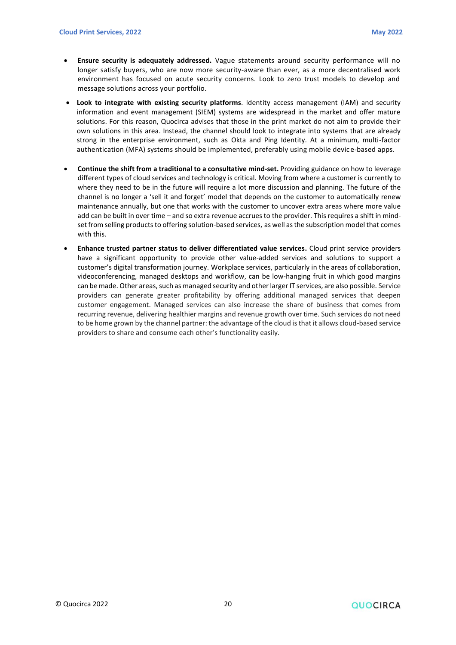- **Ensure security is adequately addressed.** Vague statements around security performance will no longer satisfy buyers, who are now more security-aware than ever, as a more decentralised work environment has focused on acute security concerns. Look to zero trust models to develop and message solutions across your portfolio.
- **Look to integrate with existing security platforms**. Identity access management (IAM) and security information and event management (SIEM) systems are widespread in the market and offer mature solutions. For this reason, Quocirca advises that those in the print market do not aim to provide their own solutions in this area. Instead, the channel should look to integrate into systems that are already strong in the enterprise environment, such as Okta and Ping Identity. At a minimum, multi-factor authentication (MFA) systems should be implemented, preferably using mobile device-based apps.
- **Continue the shift from a traditional to a consultative mind-set.** Providing guidance on how to leverage different types of cloud services and technology is critical. Moving from where a customer is currently to where they need to be in the future will require a lot more discussion and planning. The future of the channel is no longer a 'sell it and forget' model that depends on the customer to automatically renew maintenance annually, but one that works with the customer to uncover extra areas where more value add can be built in over time – and so extra revenue accrues to the provider. This requires a shift in mindset from selling products to offering solution-based services, as well as the subscription model that comes with this.
- **Enhance trusted partner status to deliver differentiated value services.** Cloud print service providers have a significant opportunity to provide other value-added services and solutions to support a customer's digital transformation journey. Workplace services, particularly in the areas of collaboration, videoconferencing, managed desktops and workflow, can be low-hanging fruit in which good margins can be made. Other areas, such as managed security and other larger IT services, are also possible. Service providers can generate greater profitability by offering additional managed services that deepen customer engagement. Managed services can also increase the share of business that comes from recurring revenue, delivering healthier margins and revenue growth over time. Such services do not need to be home grown by the channel partner: the advantage of the cloud is that it allows cloud-based service providers to share and consume each other's functionality easily.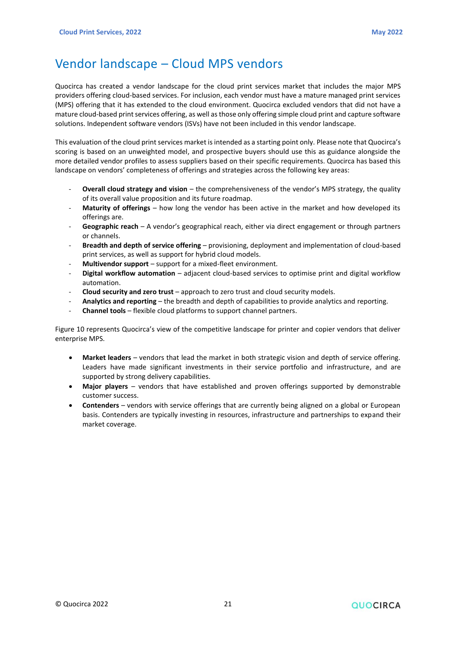### <span id="page-20-0"></span>Vendor landscape – Cloud MPS vendors

Quocirca has created a vendor landscape for the cloud print services market that includes the major MPS providers offering cloud-based services. For inclusion, each vendor must have a mature managed print services (MPS) offering that it has extended to the cloud environment. Quocirca excluded vendors that did not have a mature cloud-based print services offering, as well as those only offering simple cloud print and capture software solutions. Independent software vendors (ISVs) have not been included in this vendor landscape.

This evaluation of the cloud print services market is intended as a starting point only. Please note that Quocirca's scoring is based on an unweighted model, and prospective buyers should use this as guidance alongside the more detailed vendor profiles to assess suppliers based on their specific requirements. Quocirca has based this landscape on vendors' completeness of offerings and strategies across the following key areas:

- **Overall cloud strategy and vision** the comprehensiveness of the vendor's MPS strategy, the quality of its overall value proposition and its future roadmap.
- **Maturity of offerings**  how long the vendor has been active in the market and how developed its offerings are.
- Geographic reach A vendor's geographical reach, either via direct engagement or through partners or channels.
- **Breadth and depth of service offering**  provisioning, deployment and implementation of cloud-based print services, as well as support for hybrid cloud models.
- **Multivendor support**  support for a mixed-fleet environment.
- **Digital workflow automation** adjacent cloud-based services to optimise print and digital workflow automation.
- **Cloud security and zero trust** approach to zero trust and cloud security models.
- **Analytics and reporting** the breadth and depth of capabilities to provide analytics and reporting.
- **Channel tools**  flexible cloud platforms to support channel partners.

Figure 10 represents Quocirca's view of the competitive landscape for printer and copier vendors that deliver enterprise MPS.

- **Market leaders**  vendors that lead the market in both strategic vision and depth of service offering. Leaders have made significant investments in their service portfolio and infrastructure, and are supported by strong delivery capabilities.
- **Major players** vendors that have established and proven offerings supported by demonstrable customer success.
- **Contenders**  vendors with service offerings that are currently being aligned on a global or European basis. Contenders are typically investing in resources, infrastructure and partnerships to expand their market coverage.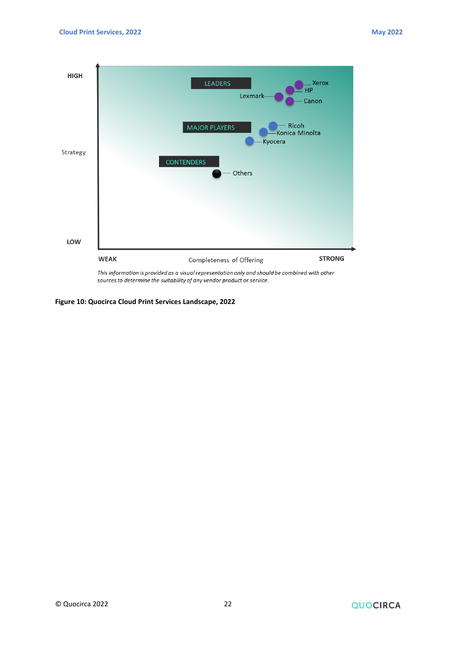

sources to determine the suitability of any vendor product or service.

**Figure 10: Quocirca Cloud Print Services Landscape, 2022**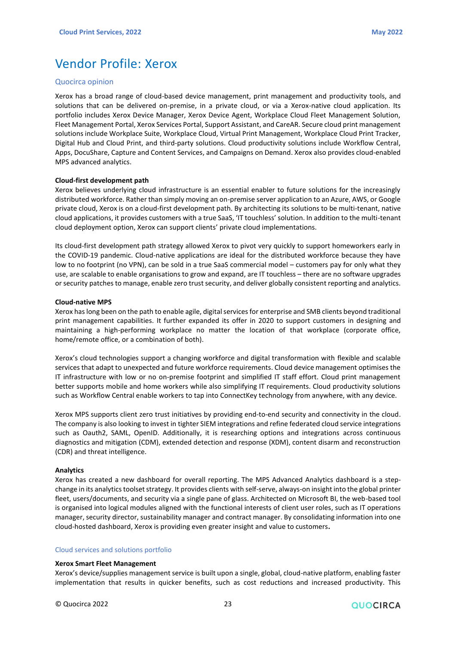# <span id="page-22-0"></span>Vendor Profile: Xerox

#### Quocirca opinion

Xerox has a broad range of cloud-based device management, print management and productivity tools, and solutions that can be delivered on-premise, in a private cloud, or via a Xerox-native cloud application. Its portfolio includes Xerox Device Manager, Xerox Device Agent, Workplace Cloud Fleet Management Solution, Fleet Management Portal, Xerox Services Portal, Support Assistant, and CareAR. Secure cloud print management solutions include Workplace Suite, Workplace Cloud, Virtual Print Management, Workplace Cloud Print Tracker, Digital Hub and Cloud Print, and third-party solutions. Cloud productivity solutions include Workflow Central, Apps, DocuShare, Capture and Content Services, and Campaigns on Demand. Xerox also provides cloud-enabled MPS advanced analytics.

#### **Cloud-first development path**

Xerox believes underlying cloud infrastructure is an essential enabler to future solutions for the increasingly distributed workforce. Rather than simply moving an on-premise server application to an Azure, AWS, or Google private cloud, Xerox is on a cloud-first development path. By architecting its solutions to be multi-tenant, native cloud applications, it provides customers with a true SaaS, 'IT touchless' solution. In addition to the multi-tenant cloud deployment option, Xerox can support clients' private cloud implementations.

Its cloud-first development path strategy allowed Xerox to pivot very quickly to support homeworkers early in the COVID-19 pandemic. Cloud-native applications are ideal for the distributed workforce because they have low to no footprint (no VPN), can be sold in a true SaaS commercial model – customers pay for only what they use, are scalable to enable organisations to grow and expand, are IT touchless – there are no software upgrades or security patches to manage, enable zero trust security, and deliver globally consistent reporting and analytics.

#### **Cloud-native MPS**

Xerox has long been on the path to enable agile, digital services for enterprise and SMB clients beyond traditional print management capabilities. It further expanded its offer in 2020 to support customers in designing and maintaining a high-performing workplace no matter the location of that workplace (corporate office, home/remote office, or a combination of both).

Xerox's cloud technologies support a changing workforce and digital transformation with flexible and scalable services that adapt to unexpected and future workforce requirements. Cloud device management optimises the IT infrastructure with low or no on-premise footprint and simplified IT staff effort. Cloud print management better supports mobile and home workers while also simplifying IT requirements. Cloud productivity solutions such as Workflow Central enable workers to tap into ConnectKey technology from anywhere, with any device.

Xerox MPS supports client zero trust initiatives by providing end-to-end security and connectivity in the cloud. The company is also looking to invest in tighter SIEM integrations and refine federated cloud service integrations such as Oauth2, SAML, OpenID. Additionally, it is researching options and integrations across continuous diagnostics and mitigation (CDM), extended detection and response (XDM), content disarm and reconstruction (CDR) and threat intelligence.

#### **Analytics**

Xerox has created a new dashboard for overall reporting. The MPS Advanced Analytics dashboard is a stepchange in its analytics toolset strategy. It provides clients with self-serve, always-on insight into the global printer fleet, users/documents, and security via a single pane of glass. Architected on Microsoft BI, the web-based tool is organised into logical modules aligned with the functional interests of client user roles, such as IT operations manager, security director, sustainability manager and contract manager. By consolidating information into one cloud-hosted dashboard, Xerox is providing even greater insight and value to customers**.**

#### Cloud services and solutions portfolio

#### **Xerox Smart Fleet Management**

Xerox's device/supplies management service is built upon a single, global, cloud-native platform, enabling faster implementation that results in quicker benefits, such as cost reductions and increased productivity. This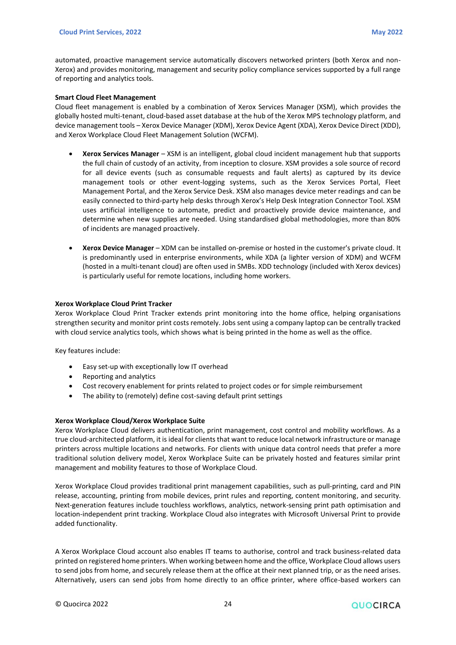automated, proactive management service automatically discovers networked printers (both Xerox and non-Xerox) and provides monitoring, management and security policy compliance services supported by a full range of reporting and analytics tools.

#### **Smart Cloud Fleet Management**

Cloud fleet management is enabled by a combination of Xerox Services Manager (XSM), which provides the globally hosted multi-tenant, cloud-based asset database at the hub of the Xerox MPS technology platform, and device management tools – Xerox Device Manager (XDM), Xerox Device Agent (XDA), Xerox Device Direct (XDD), and Xerox Workplace Cloud Fleet Management Solution (WCFM).

- **Xerox Services Manager** XSM is an intelligent, global cloud incident management hub that supports the full chain of custody of an activity, from inception to closure. XSM provides a sole source of record for all device events (such as consumable requests and fault alerts) as captured by its device management tools or other event-logging systems, such as the Xerox Services Portal, Fleet Management Portal, and the Xerox Service Desk. XSM also manages device meter readings and can be easily connected to third-party help desks through Xerox's Help Desk Integration Connector Tool. XSM uses artificial intelligence to automate, predict and proactively provide device maintenance, and determine when new supplies are needed. Using standardised global methodologies, more than 80% of incidents are managed proactively.
- **Xerox Device Manager** XDM can be installed on-premise or hosted in the customer's private cloud. It is predominantly used in enterprise environments, while XDA (a lighter version of XDM) and WCFM (hosted in a multi-tenant cloud) are often used in SMBs. XDD technology (included with Xerox devices) is particularly useful for remote locations, including home workers.

#### **Xerox Workplace Cloud Print Tracker**

Xerox Workplace Cloud Print Tracker extends print monitoring into the home office, helping organisations strengthen security and monitor print costs remotely. Jobs sent using a company laptop can be centrally tracked with cloud service analytics tools, which shows what is being printed in the home as well as the office.

Key features include:

- Easy set-up with exceptionally low IT overhead
- Reporting and analytics
- Cost recovery enablement for prints related to project codes or for simple reimbursement
- The ability to (remotely) define cost-saving default print settings

#### **Xerox Workplace Cloud/Xerox Workplace Suite**

Xerox Workplace Cloud delivers authentication, print management, cost control and mobility workflows. As a true cloud-architected platform, it is ideal for clients that want to reduce local network infrastructure or manage printers across multiple locations and networks. For clients with unique data control needs that prefer a more traditional solution delivery model, Xerox Workplace Suite can be privately hosted and features similar print management and mobility features to those of Workplace Cloud.

Xerox Workplace Cloud provides traditional print management capabilities, such as pull-printing, card and PIN release, accounting, printing from mobile devices, print rules and reporting, content monitoring, and security. Next-generation features include touchless workflows, analytics, network-sensing print path optimisation and location-independent print tracking. Workplace Cloud also integrates with Microsoft Universal Print to provide added functionality.

A Xerox Workplace Cloud account also enables IT teams to authorise, control and track business-related data printed on registered home printers. When working between home and the office, Workplace Cloud allows users to send jobs from home, and securely release them at the office at their next planned trip, or as the need arises. Alternatively, users can send jobs from home directly to an office printer, where office-based workers can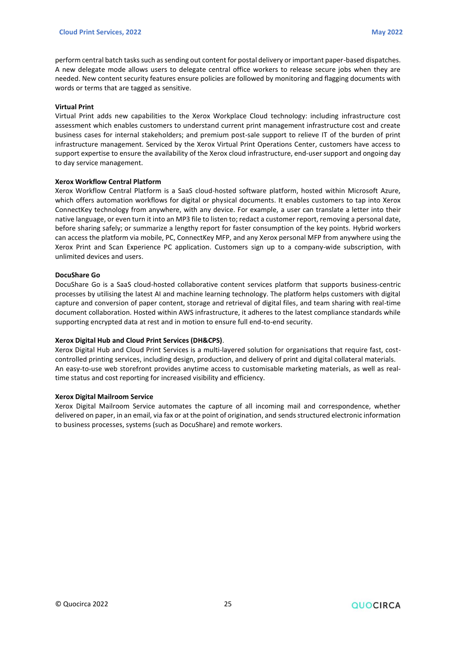perform central batch tasks such as sending out content for postal delivery or important paper-based dispatches. A new delegate mode allows users to delegate central office workers to release secure jobs when they are needed. New content security features ensure policies are followed by monitoring and flagging documents with words or terms that are tagged as sensitive.

#### **Virtual Print**

Virtual Print adds new capabilities to the Xerox Workplace Cloud technology: including infrastructure cost assessment which enables customers to understand current print management infrastructure cost and create business cases for internal stakeholders; and premium post-sale support to relieve IT of the burden of print infrastructure management. Serviced by the Xerox Virtual Print Operations Center, customers have access to support expertise to ensure the availability of the Xerox cloud infrastructure, end-user support and ongoing day to day service management.

#### **Xerox Workflow Central Platform**

Xerox Workflow Central Platform is a SaaS cloud-hosted software platform, hosted within Microsoft Azure, which offers automation workflows for digital or physical documents. It enables customers to tap into Xerox ConnectKey technology from anywhere, with any device. For example, a user can translate a letter into their native language, or even turn it into an MP3 file to listen to; redact a customer report, removing a personal date, before sharing safely; or summarize a lengthy report for faster consumption of the key points. Hybrid workers can access the platform via mobile, PC, ConnectKey MFP, and any Xerox personal MFP from anywhere using the Xerox Print and Scan Experience PC application. Customers sign up to a company-wide subscription, with unlimited devices and users.

#### **DocuShare Go**

DocuShare Go is a SaaS cloud-hosted collaborative content services platform that supports business-centric processes by utilising the latest AI and machine learning technology. The platform helps customers with digital capture and conversion of paper content, storage and retrieval of digital files, and team sharing with real-time document collaboration. Hosted within AWS infrastructure, it adheres to the latest compliance standards while supporting encrypted data at rest and in motion to ensure full end-to-end security.

#### **Xerox Digital Hub and Cloud Print Services (DH&CPS)**.

Xerox Digital Hub and Cloud Print Services is a multi-layered solution for organisations that require fast, costcontrolled printing services, including design, production, and delivery of print and digital collateral materials. An easy-to-use web storefront provides anytime access to customisable marketing materials, as well as realtime status and cost reporting for increased visibility and efficiency.

#### **Xerox Digital Mailroom Service**

Xerox Digital Mailroom Service automates the capture of all incoming mail and correspondence, whether delivered on paper, in an email, via fax or at the point of origination, and sends structured electronic information to business processes, systems (such as DocuShare) and remote workers.